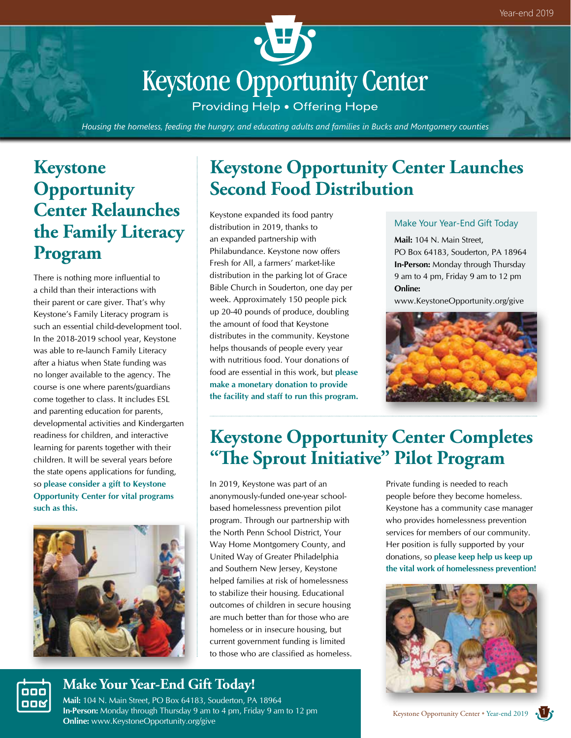

Providing Help . Offering Hope

*Housing the homeless, feeding the hungry, and educating adults and families in Bucks and Montgomery counties*

# **Keystone Opportunity Center Relaunches the Family Literacy Program**

There is nothing more influential to a child than their interactions with their parent or care giver. That's why Keystone's Family Literacy program is such an essential child-development tool. In the 2018-2019 school year, Keystone was able to re-launch Family Literacy after a hiatus when State funding was no longer available to the agency. The course is one where parents/guardians come together to class. It includes ESL and parenting education for parents, developmental activities and Kindergarten readiness for children, and interactive learning for parents together with their children. It will be several years before the state opens applications for funding, so **please consider a gift to Keystone Opportunity Center for vital programs such as this.**



000 00M

# **Keystone Opportunity Center Launches Second Food Distribution**

Keystone expanded its food pantry distribution in 2019, thanks to an expanded partnership with Philabundance. Keystone now offers Fresh for All, a farmers' market-like distribution in the parking lot of Grace Bible Church in Souderton, one day per week. Approximately 150 people pick up 20-40 pounds of produce, doubling the amount of food that Keystone distributes in the community. Keystone helps thousands of people every year with nutritious food. Your donations of food are essential in this work, but **please make a monetary donation to provide the facility and staff to run this program.**

#### Make Your Year-End Gift Today

**Mail:** 104 N. Main Street, PO Box 64183, Souderton, PA 18964 **In-Person:** Monday through Thursday 9 am to 4 pm, Friday 9 am to 12 pm **Online:**

www.KeystoneOpportunity.org/give



# **Keystone Opportunity Center Completes "The Sprout Initiative" Pilot Program**

In 2019, Keystone was part of an anonymously-funded one-year schoolbased homelessness prevention pilot program. Through our partnership with the North Penn School District, Your Way Home Montgomery County, and United Way of Greater Philadelphia and Southern New Jersey, Keystone helped families at risk of homelessness to stabilize their housing. Educational outcomes of children in secure housing are much better than for those who are homeless or in insecure housing, but current government funding is limited to those who are classified as homeless.

Private funding is needed to reach people before they become homeless. Keystone has a community case manager who provides homelessness prevention services for members of our community. Her position is fully supported by your donations, so **please keep help us keep up the vital work of homelessness prevention!**



### **Make Your Year-End Gift Today!**

**Mail:** 104 N. Main Street, PO Box 64183, Souderton, PA 18964 **In-Person:** Monday through Thursday 9 am to 4 pm, Friday 9 am to 12 pm **Online:** www.KeystoneOpportunity.org/give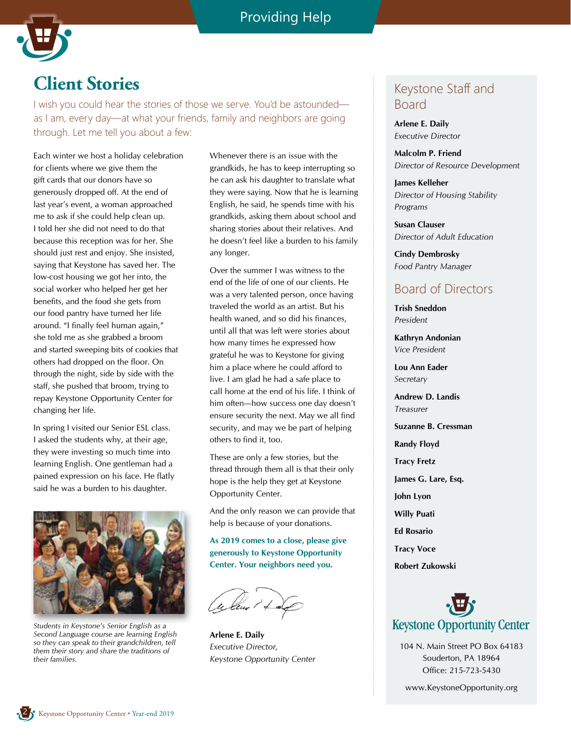

### **Client Stories**

I wish you could hear the stories of those we serve. You'd be astounded as I am, every day—at what your friends, family and neighbors are going through. Let me tell you about a few:

Each winter we host a holiday celebration for clients where we give them the gift cards that our donors have so generously dropped off. At the end of last year's event, a woman approached me to ask if she could help clean up. I told her she did not need to do that because this reception was for her. She should just rest and enjoy. She insisted, saying that Keystone has saved her. The low-cost housing we got her into, the social worker who helped her get her benefits, and the food she gets from our food pantry have turned her life around. "I finally feel human again," she told me as she grabbed a broom and started sweeping bits of cookies that others had dropped on the floor. On through the night, side by side with the staff, she pushed that broom, trying to repay Keystone Opportunity Center for changing her life.

In spring I visited our Senior ESL class. I asked the students why, at their age, they were investing so much time into learning English. One gentleman had a pained expression on his face. He flatly said he was a burden to his daughter.



*Students in Keystone's Senior English as a Second Language course are learning English so they can speak to their grandchildren, tell them their story and share the traditions of their families.*

Whenever there is an issue with the grandkids, he has to keep interrupting so he can ask his daughter to translate what they were saying. Now that he is learning English, he said, he spends time with his grandkids, asking them about school and sharing stories about their relatives. And he doesn't feel like a burden to his family any longer.

Over the summer I was witness to the end of the life of one of our clients. He was a very talented person, once having traveled the world as an artist. But his health waned, and so did his finances, until all that was left were stories about how many times he expressed how grateful he was to Keystone for giving him a place where he could afford to live. I am glad he had a safe place to call home at the end of his life. I think of him often—how success one day doesn't ensure security the next. May we all find security, and may we be part of helping others to find it, too.

These are only a few stories, but the thread through them all is that their only hope is the help they get at Keystone Opportunity Center.

And the only reason we can provide that help is because of your donations.

**As 2019 comes to a close, please give generously to Keystone Opportunity Center. Your neighbors need you.** 

**Arlene E. Daily** *Executive Director, Keystone Opportunity Center*

### Keystone Staff and Board

**Arlene E. Daily** *Executive Director*

**Malcolm P. Friend** *Director of Resource Development*

**James Kelleher** *Director of Housing Stability Programs*

**Susan Clauser** *Director of Adult Education*

**Cindy Dembrosky** *Food Pantry Manager*

### Board of Directors

**Trish Sneddon**  *President*

**Kathryn Andonian** *Vice President*

**Lou Ann Eader** *Secretary*

**Andrew D. Landis** *Treasurer*

**Suzanne B. Cressman**

**Randy Floyd**

**Tracy Fretz**

**James G. Lare, Esq.**

**John Lyon**

**Willy Puati**

**Ed Rosario**

**Tracy Voce**

**Robert Zukowski**



104 N. Main Street PO Box 64183 Souderton, PA 18964 Office: 215-723-5430

www.KeystoneOpportunity.org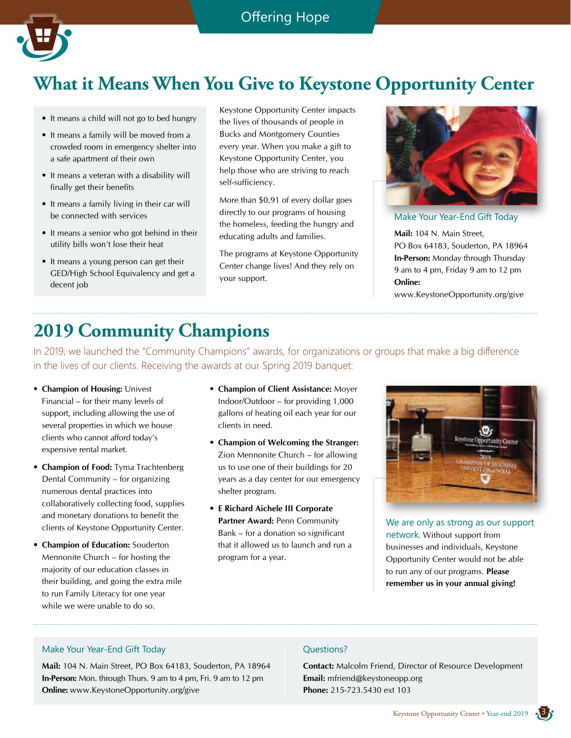

# **What it Means When You Give to Keystone Opportunity Center**

- It means a child will not go to bed hungry
- It means a family will be moved from a crowded room in emergency shelter into a safe apartment of their own
- It means a veteran with a disability will finally get their benefits
- It means a family living in their car will be connected with services
- It means a senior who got behind in their utility bills won't lose their heat
- It means a young person can get their GED/High School Equivalency and get a decent job

Keystone Opportunity Center impacts the lives of thousands of people in Bucks and Montgomery Counties every year. When you make a gift to Keystone Opportunity Center, you help those who are striving to reach self-sufficiency.

More than \$0.91 of every dollar goes directly to our programs of housing the homeless, feeding the hungry and educating adults and families.

The programs at Keystone Opportunity Center change lives! And they rely on your support.



Make Your Year-End Gift Today

**Mail:** 104 N. Main Street, PO Box 64183, Souderton, PA 18964 **In-Person:** Monday through Thursday 9 am to 4 pm, Friday 9 am to 12 pm **Online:**

www.KeystoneOpportunity.org/give

# **2019 Community Champions**

In 2019, we launched the "Community Champions" awards, for organizations or groups that make a big difference in the lives of our clients. Receiving the awards at our Spring 2019 banquet:

- **Champion of Housing:** Univest Financial – for their many levels of support, including allowing the use of several properties in which we house clients who cannot afford today's expensive rental market.
- **Champion of Food:** Tyma Trachtenberg Dental Community – for organizing numerous dental practices into collaboratively collecting food, supplies and monetary donations to benefit the clients of Keystone Opportunity Center.
- **Champion of Education:** Souderton Mennonite Church – for hosting the majority of our education classes in their building, and going the extra mile to run Family Literacy for one year while we were unable to do so.
- **Champion of Client Assistance:** Moyer Indoor/Outdoor – for providing 1,000 gallons of heating oil each year for our clients in need.
- **Champion of Welcoming the Stranger:** Zion Mennonite Church – for allowing us to use one of their buildings for 20 years as a day center for our emergency shelter program.
- **E Richard Aichele III Corporate Partner Award:** Penn Community Bank – for a donation so significant that it allowed us to launch and run a program for a year.



We are only as strong as our support network. Without support from businesses and individuals, Keystone Opportunity Center would not be able to run any of our programs. **Please remember us in your annual giving!**

#### Make Your Year-End Gift Today

**Mail:** 104 N. Main Street, PO Box 64183, Souderton, PA 18964 **In-Person:** Mon. through Thurs. 9 am to 4 pm, Fri. 9 am to 12 pm **Online:** www.KeystoneOpportunity.org/give

#### Questions?

**Contact:** Malcolm Friend, Director of Resource Development **Email:** mfriend@keystoneopp.org **Phone:** 215-723.5430 ext 103